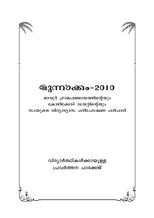

മാവൂർ ഗ്രാമപഞ്ചായത്തിന്റെയും കോഴിക്കോട് ഡയറ്റിന്റെയും സംയുക്ത വിദ്യാഭ്യാസ പരിപോഷണ പരിപാടി

> വിദ്യാർത്ഥികൾക്കായുള്ള പ്രവർത്തന പാക്കേജ്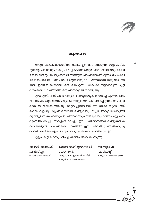## ആമുഖം

മാവൂർ ഗ്രാമപഞ്ചായത്തിലെ നാലാം ക്ലാസിൽ പഠിക്കുന്ന എല്ലാ കുട്ടിക ളുടെയും പഠനനേട്ടം ലക്ഷ്യം വെച്ചുകൊണ്ട് മാവൂർ ഗ്രാമപഞ്ചായത്തും കോഴി ക്കോട് ഡയറ്റും സംയുക്തമായി നടത്തുന്ന പരിപാടിയാണ് മുന്നാക്കം. പ്രക്രി യാബന്ധിതമായ പഠനം ഉറപ്പാക്കുന്നതിനുള്ള ശ്രമങ്ങളാണ് ഇതുവരെ നട ന്നത്. ഇതിന്റെ ഭാഗമായി എൽ.എസ്.എസ് പരീക്ഷക്ക് തയ്യാറാകുന്ന കുട്ടി കൾക്കായി 2 ദിവസത്തെ ഒരു പഠനകൃാമ്പ് നടത്തുന്നു.

എൽ.എസ്.എസ് പരീക്ഷയുടെ ചോദ്യമാതൃക നടത്തിപ്പ് എന്നിവയിൽ ഈ വർഷം മാറ്റം വന്നിരിക്കുകയാണല്ലോ. ഇവ പരിചയപ്പെടുന്നതിനും കുട്ടി കളെ സഹായിക്കുന്നതിനും ഉദ്ദേശിച്ചുള്ളതാണ് ഈ വർക്ക് ബുക്ക്. ഇത് ഓരോ കുട്ടിയും വ്യക്തിഗതമായി ചെയ്യുകയും ടീച്ചർ അതുവിലയിരുത്തി ആവശ്യമായ സഹായവും പ്രോത്സാഹനവും നൽകുകയും വേണം കുട്ടിയ്ക്ക് ക്യാമ്പിൽ വെച്ചും സ്കൂളിൽ വെച്ചും ഈ പ്രവർത്തനങ്ങൾ ചെയ്യുന്നതിന് അവസരമുണ്ട്. ഫലപ്രദമായ പഠനത്തിന് ഈ പാക്കേജ് പ്രയോജനപ്പെടു ത്താൻ രക്ഷിതാക്കളും അധ്യാപകരും പ്രത്യേകം ശ്രദ്ധിക്കുമല്ലോ.

എല്ലാ കുട്ടികൾക്കും മികച്ച വിജയം ആശംസിക്കുന്നു.

സി.സുരേഷ് പ്രസിഡന്റ്, മാവൂർ ഗ്രാമപഞ്ചായത്ത്

മങ്ങാട്ട് അബ്ദുൾറസാക്ക് ചെയർമാൻ. വിദ്യാഭ്യാസ സ്റ്റാന്റിങ് കമ്മിറ്റി മാവൂർ ഗ്രാമപഞ്ചായത്ത്

ജോർജ് ജോസഫ് പ്രിൻസിപ്പൽ ഡയറ്റ് കോഴിക്കോട്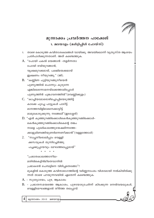## മൂന്നാക്കം പ്രവർത്തന പാക്കേജ് 1. മലയാളം (മൾട്ടിപ്പിൾ ചോയ്സ്)

- താഴെ കൊടുത്ത കവിതാശകലങ്ങൾ വായിക്കൂ. അവയിലൊന്ന് വ്യത്യസ്ത ആശയം  $1.$ പ്രതിപാദിക്കുന്നതാണ്. അത് കണ്ടെത്തുക.
- A. "പോയി പകൽ മയങ്ങാൻ -തളർന്നതാ പോയി രവിയുറങ്ങാൻ, വൃക്ഷമുറക്കമായ്, പക്ഷിമയക്കമായ് ഇക്ഷണം നീയുറങ്ങു." (ജി).
- B. "കണ്ണിണ പൂട്ടിയുറങ്ങൂനീയെൻ പുണ്യത്തിൽ പൊന്നും കുരുന്നേ എങ്കിലെന്നോമനയ്ക്കെത്താമിപ്പോൾ പുണ്യത്തിൻ പൂങ്കാവനത്തിൽ"(വെണ്ണിക്കുളം)
- C. "കാച്ചിയമോരൊഴിച്ചൊപ്പിയെടുത്തിട്ട് കാക്കേ പൂച്ചേ പാട്ടുകൾ പാടീട്ട് മാനത്തമ്പിളിമാമനെക്കാട്ടീട്ട് മാമുകൊടുക്കുന്നു നങ്ങേലി"(ഇടശ്ശേരി)
- D. "എൻ കുഞ്ഞുറങ്ങിക്കൊൾകെൻകുഞ്ഞുറങ്ങിക്കൊൾ-കെൻകുഞ്ഞുറങ്ങിക്കൊൾകെന്റെ തങ്കം നാളെ പുലർകാലത്തുന്മേഷമിന്നത്തേ-ക്കാളുമിണങ്ങിയുണർന്നെണീക്കാൻ"(വള്ളത്തോൾ)
- "സ്വച്ചനീരൊലിപ്പാം വെള്ളി 2. ക്കസവുകൾ തുന്നിച്ചേർത്തു പച്ചക്കുപ്പായവും മേഘത്തലപ്പുമായ്"

"പ്രഭാതകാലത്താനീല-

മതിൽകെട്ടിൻമീതെവാനിൽ

പ്രഭാകരൻ ചെമ്പട്ടിനെ വിരിപ്പതെങ്ങോ"?

മുകളിൽ കൊടുത്ത കവിതാഭാഗത്തിന്റെ വർണ്ണനാംശം വിശദമായി നൽകിയിരിക്കു ന്നത് താഴെ പറയുന്നവയിൽ ഏതെന്ന് കണ്ടെത്തുക.

- A. സുര്യോദയം, പുഴ, ആകാശം
- $B.$  പ്രഭാതസമയത്തെ ആകാശം, പുഴയോടുചേർന്ന് കിടക്കുന്ന നെൽവയലുകൾ, വെള്ളിമേഘങ്ങളാൽ തീർത്ത തലപ്പാവ്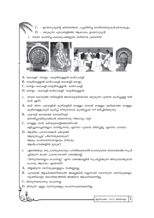

## A. തിളങ്ങുന്ന വസ്തുക്കളെല്ലാം സ്വർണ്ണമല്ല.

- B. പുറമേക്ക് ആകർഷണീയമായി അല്ലെങ്കിൽ നല്ലതായി തോന്നുന്ന വസ്തുക്കളോ, വ്യക്തികളോ യഥാർത്ഥത്തിൽ അങ്ങനെ ആകണമെന്നില്ല.
- C. മിന്നുന്നതൊന്നും പൊന്നല്ല.
- $D$ . മിന്നുന്ന എല്ലാ വസ്തുക്കളും പൊന്നാകണമെന്നില്ല.

പ്പിക്കുന്ന ഭാഷാ പ്രയോഗമാണ് പഴഞ്ചൊല്ല്. "മിന്നുന്നതെല്ലാം പൊന്നല്ല" എന്ന പഴഞ്ചൊല്ലിൽ സൂചിപ്പിക്കുന്ന അനുയോജ്യമായ

5. ഏതെങ്കിലും ഒരു പ്രത്യേകകാര്യം പറഞ്ഞുകൊണ്ട് പൊതുവായ ഒരാശയത്തെ സൂചി

- ആലുവാപ്പുഴ പിന്നെയുമൊഴുകീ. ആരും കാണാതെയോളവും തീരവും
- 
- $D.$  ആയിരം പാദസരങ്ങൾ കിലുങ്ങി

ആലിംഗനങ്ങളിൽ മുഴുകീ.

പൊതു ആശയം എന്താണ്?

- 
- B. പുഴവറ്റി കടവത്തെ തോണിവറ്റി മണൽപ്പായിലുറങ്ങാൻ കിടന്നൊരു നിലാവും വറ്റി  $C.$  വെള്ളം മാറി, മണലുതെളിഞ്ഞതിനാൽ ഒളിച്ചുവെച്ചതെല്ലാം നേരിട്ടുതന്നു എന്നോ പുഴയെ തിരിച്ചിട്ടു എന്നോ പറയാം.

കൾ ഏത്?

- A. ഒലി നിന്ന പുഴകളിൽ കുഴികളിൽ വെള്ളം ഓഴക്ക് വെള്ളം ഒലിക്കാത്ത വെള്ളം കുഴിവെള്ളംകൂടി കുടിച്ച് തീരുമ്പോൾ കുന്തിപ്പുഴേ നീ മരിച്ചിരിക്കുന്നു.
- 4. താഴെ കൊടുത്ത വരികളിൽ ജലസമൃദ്ധിയോടെ ഒഴുകുന്ന പുഴയെ കുറിച്ചുള്ള വരി



C. തെയ്യം-കഥകളി-ഓട്ടൻതുള്ളൽ- മാർഗംകളി

- ഉദയസൂര്യന്റെ കിരണങ്ങൾ, പച്ചവിരിച്ച നെൽവയലുകൾ,മേഘകൂട്ടം

 $D.$  - ഒഴുകുന്ന പുഴ,തെളിഞ്ഞ ആകാശം, ഉദയസൂര്യൻ

3. താഴെ കാണിച്ച കലാരൂപങ്ങളുടെ ശരിയായ ക്രമമേത്?

- A. കഥകളി- തെയ്യം -ഓട്ടൻതുള്ളൽ-മാർഗംകളി
- $B.$  ഓട്ടൻതുള്ളൽ-മാർഗംകളി-കഥകളി-തെയ്യം
- 
- 
- 
- 

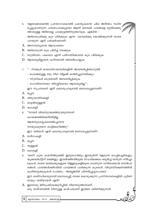- 6. വളരെക്കാലത്തെ പ്രയോഗംകൊണ്ട് പ്രത്യേകമായ ചില അർത്ഥം സ്ഥിര പ്പെട്ടുകാണുന്ന പദമോപദക്കൂട്ടമോ ആണ് ശൈലി. പദങ്ങളെ ഒറ്റയ്ക്കെടു ത്താലുള്ള അർഥമല്ല പദക്കൂട്ടത്തിനുണ്ടാവുക. എങ്കിൽ – അർധരാത്രിക്കു കുട പിടിക്കുക എന്ന ശൈലിക്കു യോജിക്കുന്നത് താഴെ പറയുന്ന ഏത് പരാമർശമാണ്.
- A. അനാവശ്യമായ ആഡംബരം
- B. അർധരാത്രി കുട പിടിച്ച് നടക്കുക
- $C.$  രാത്രിയോ, പകലോ എന്ന് പരിഗണിക്കാതെ കുട പിടിക്കുക.
- $D.$  ആവശ്യമില്ലാതെ കഠിനമായി ജോലിചെയ്യുക.
- 7. "– സ്ക്കൂൾ കലോത്സവവേദികളിൽ അവതരിപ്പിക്കാറുണ്ട്
	- പൊക്കമുള്ള ഒരു നില വിളക്ക് കത്തിച്ചുവെയ്ക്കും.
	- സ്ത്രീകൾ മാത്രമാണ് അവതരിപ്പിക്കുക
	- രംഗവിതാനമോ തിരശ്ശീലയോ ആവശ്യമില്ല"-

ഈ സൂചനകൾ ഏത് കലാരൂപവുമായി ബന്ധപ്പെട്ടതാണ്?

- A. ഒപ്പന
- B. തിരുവാതിരക്കളി
- C. ഓട്ടൻതുള്ളൽ
- D. கமகதி
- "നായർ വിശന്നുവലഞ്ഞുവരുമ്പോൾ 8.
	- കായക്കഞ്ഞിക്കരിയിട്ടില്ല

ആയതുകേട്ടുകലമ്പിച്ചെന്നവ

നായുധമുടനെ കാട്ടിലെറിഞ്ഞു"-

ഈ വരികൾ ഏത് കലാരൂപവുമായി ബന്ധപ്പെട്ടതാണ്?

- A. മാർഗംകളി
- B. ഒപ്പന
- C. തുള്ളൽ
- D. கமகவி
- 9. 'ബസ് ചുരം കയറിത്തുടങ്ങി. ഇരുഭാഗത്തും ഇടതൂർന്ന് വളരുന്ന കാപ്പിച്ചെടികളും യൂക്കാലിപ്റ്സ് മരങ്ങളും. ഇവയ്ക്കിടയിലൂടെ സ്ഫടികജലം ഒരുമിച്ച് താഴുന്ന നീർച്ചാ ലുകൾ. താഴെ മലമടക്കുകളുടെ വിള്ളലുകളിലൂടെ കാണുന്ന ഹരിതാഭമായ നെൽപാ ടങ്ങൾ. പാടങ്ങൾക്കിടയിൽ പാവങ്ങൾ പാർക്കുന്ന കൂരകൾ. വിദൂരവീക്ഷണത്തിൽ കൂരിയാറ്റക്കൂടുകൾ പോലെ... അല്ലെങ്കിൽ ചിതൽപ്പുറ്റുപോലെ.'

ഈ ഖണ്ഡികയുമായി ബന്ധപ്പെട്ട് താഴെ കൊടുക്കുന്ന പ്രസ്താവനകളിൽ പൂർണ മായും ശരിയായത് ഏത്?

A. ഇതൊരു ജീവചരിത്രക്കുറിപ്പിൽ നിന്നെടുത്തതാണ്. ഒരു താഴ്വരയിൽ നിന്നുള്ള കാഴ്ചയാണ് ഇവിടെ വർണിക്കുന്നത്.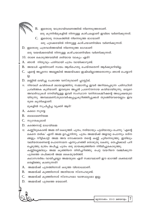- B. ഇതൊരു യാത്രാവിവരണത്തിൽ നിന്നെടുത്തതാണ്. ഒരു കുന്നിൻമുകളിൽ നിന്നുള്ള കാഴ്ചകളാണ് ഇവിടെ വർണിക്കുന്നത്.
- $C.$  ഇതൊരു നാടകത്തിൽ നിന്നെടുത്ത ഭാഗമാണ് ഒരു പുഴക്കരയിൽ നിന്നുള്ള കാഴ്ചയാണിവിടെ വർണിക്കുന്നത്.
- $D.$  ഇതൊരു പത്രവാർത്തയിൽ നിന്നെടുത്ത ഭാഗമാണ്

ഒരു വയൽക്കരയിൽ നിന്നുള്ള കാഴ്ചയാണിവിടെ വർണിക്കുന്നത്.

- $10.$  താഴെ കൊടുത്തവയിൽ ശരിയായ വാക്യം ഏത്?
- A. ഞാൻ നിത്യവും പതിവായി പത്രം വായിക്കാറുണ്ട്.
- B. അയാൾ എന്തിനാണ് സ്വയം ആത്മഹത്യ ചെയ്തതെന്ന് ആർക്കുമറിയില്ല.
- C. എന്റെ അച്ഛനോ അല്ലെങ്കിൽ അമ്മയ്ക്കോ ഇഷ്ടമില്ലാത്തതൊന്നും ഞാൻ ചെയ്യാറി 있.
- D. മണ്ണിൽ ലയിച്ചു ചേരാത്ത വസ്തുവാണ് പ്ലാസ്റ്റിക്.
- 11. നിരവധി കവിതകൾ മലയാളത്തിനു സമ്മാനിച്ച ഇവർ അറിയപ്പെടുന്ന പരിസ്ഥിതി പ്രവർത്തക കൂടിയാണ്. ഇവരുടെ അച്ഛൻ പ്രശസ്തനായ കവിയായിരുന്നു. ഒട്ടേറെ അവാർഡുകൾ നേടിയിട്ടുള്ള ഇവർ സംസ്ഥാന വനിതാകമ്മീഷന്റെ അധ്യക്ഷയുമാ യിരുന്നു. അമ്പലമണി,തുലാവർഷപ്പച്ച,കുറിഞ്ഞിപ്പൂക്കൾ തുടങ്ങിയവയെല്ലാം ഇവ രുടെ കൃതികളാണ്.

മുകളിൽ സൂചിപ്പിച്ച വ്യക്തി ആര്?

- A. കമലാ സുരയ്യ
- B. ബാലാമണിയമ്മ
- C. സുഗതകുമാരി
- D. കടത്തനാട്ട് മാധവിയമ്മ
- 12. കണ്ണീരുകൊണ്ട് അമ്മ തീ കെടുത്തി. പൂതം, നരിയായും പുലിയായും ചെന്നു. 'എന്റെ മകനെ തരിക' എന്ന് അമ്മ ഉറച്ചുനിന്നു. പൂതം അമ്മയ്ക്ക് അളവറ്റ പൊന്നും രത്ന ങ്ങളും നീട്ടികാട്ടി. അമ്മ അവ നോക്കാതെ തന്റെ കണ്ണ് ചൂഴ്ന്നെടുത്തു. ഇതിലും വലിയതാണെന്റെ പൊന്നോമന എന്നുപറഞ്ഞ് തൊഴുതു കേണു. തെച്ചിക്കാല് പറി ച്ചെടുത്തു മന്ത്രം ജപിച്ചു പൂതം ഒരു മായക്കുഞ്ഞിനെ നിർമിച്ചുകൊടുത്തു.

കണ്ണില്ലെങ്കിലും അമ്മ കുഞ്ഞിനെ തിരിച്ചറിഞ്ഞു. പെറ്റ വയറിനെ വഞ്ചിക്കുന്ന പുതത്തെ ശപിക്കാൻ അമ്മ കൈയുയർത്തി.

കഥാസന്ദർഭം വായിച്ചല്ലോ അമ്മയുടെ ഏത് സ്വഭാവമാണ് ഈ ഭാഗത്ത് ശക്തമായി തെളിഞ്ഞു കാണുന്നത്?

- A. അമ്മയ്ക്ക് പുതത്തിനോട് കടുത്ത വിരോധമാണ്.
- $B.$  അമ്മയ്ക്ക് കുഞ്ഞിനോട് അതിയായ സ്നേഹമുണ്ട്.
- $C.$  അമ്മയ്ക്ക് കുഞ്ഞിനോട് സ്നേഹമോ വാത്സല്യമോ ഇല്ല.
- $D.$  അമ്മയ്ക്ക് പുതത്തെ ഭയമാണ്.

7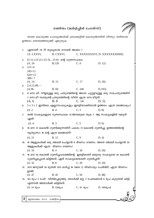# ഗണിതം (മൾട്ടിപ്പിൾ ചോയ്സ്)

താഴെ കൊടുത്ത ചോദ്യങ്ങൾക്ക് ബ്രാക്കറ്റിൽ കൊടുത്തതിൽ നിന്നും ശരിയായ ഉത്തരം തെരഞ്ഞെടുത്ത് എഴുതുക

| 1.  |                                                                 | ഏതാണ് 76 ന് തുല്യമായ റോമൻ അക്കം ?                  |           |                                                                               |  |  |
|-----|-----------------------------------------------------------------|----------------------------------------------------|-----------|-------------------------------------------------------------------------------|--|--|
|     | (A. LXXVI,                                                      | B. CXXVI,                                          |           | C. XXXXXXXVI, D. XXXXXXXIIIII)                                                |  |  |
| 2.  | $(5-1)$ x $(5-2)$ x $(5-3)(5-6)$ ന്റെ ഗുണനഫലം                   |                                                    |           |                                                                               |  |  |
|     | (A. 24)                                                         | <b>B.120</b>                                       | C.0       | D. 12)                                                                        |  |  |
| 3.  | $121=4$                                                         |                                                    |           |                                                                               |  |  |
|     | $245=11$                                                        |                                                    |           |                                                                               |  |  |
|     | $624 = 12$                                                      |                                                    |           |                                                                               |  |  |
|     | $386 = ?$                                                       |                                                    |           |                                                                               |  |  |
|     | (A. 14)                                                         | <b>B.</b> 15                                       | C. 17     | D. 20                                                                         |  |  |
|     | 4. $2,4,12,48,$                                                 |                                                    |           |                                                                               |  |  |
|     | (A.96)                                                          | <b>B.</b> 60                                       | C. 240    | D.192)                                                                        |  |  |
| 5.  |                                                                 |                                                    |           | 8 സെമീ. നീളമുള്ള ഒരു ചതുരത്തിന്റെ അതേ ചുറ്റളവുള്ള ഒരു സമചതുരത്തിന്            |  |  |
|     |                                                                 | 7 സെ.മീ വശമുണ്ട്.ചതുരത്തിന്റെ വീതി എത്ര സെ.മീറ്റർ? |           |                                                                               |  |  |
|     | (A, 6)                                                          | <b>B.</b> 8                                        | C.14      | D. 5)                                                                         |  |  |
| 6.  |                                                                 |                                                    |           | 5 x 3 x 2 ഇതിലെ എല്ലാസംഖ്യകളും ഇരട്ടിയാക്കിയാൽ ഉത്തരം എത്ര മടങ്ങാകും?         |  |  |
|     | (A. 2)                                                          | <b>B.4</b>                                         | C.3       | D. 8                                                                          |  |  |
| 7.  |                                                                 |                                                    |           | രണ്ട് സംഖ്യകളുടെ ഗുണനഫലം 12.അവയുടെ തുക 7. ആ സംഖ്യകളിൽ വലുത്                   |  |  |
|     | ഏത്?                                                            |                                                    |           |                                                                               |  |  |
|     | (A.4)                                                           | <b>B.3</b>                                         | C.5       | D.6                                                                           |  |  |
| 8.  |                                                                 |                                                    |           | 16 നെ 12 കൊണ്ട് ഗുണിക്കുന്നതിന് പകരം 21 കൊണ്ട് ഗുണിച്ചു. ഉത്തരത്തിന്റെ        |  |  |
|     | വ്യത്യാസം 16 ന്റെ എത്ര മടങ്ങാണ്?                                |                                                    |           |                                                                               |  |  |
|     | (A. 21)                                                         | <b>B.</b> 12                                       | C.9       | D.4                                                                           |  |  |
| 10. | 10 ആളുകൾക്ക് ഒരു ജോലി ചെയ്യാൻ 8 ദിവസം വേണം. അതേ ജോലി ചെയ്യാൻ 20 |                                                    |           |                                                                               |  |  |
|     | ആളുകൾക്ക് എത്ര ദിവസം വേണം?                                      |                                                    |           |                                                                               |  |  |
|     | (A. 16)                                                         | B.4                                                | C.18      | D. 20                                                                         |  |  |
| 11. |                                                                 |                                                    |           | 16 നെ 40 കൊണ്ട് ഗുണിച്ചഫലത്തിന്റെ ഇരട്ടിയാണ് മറ്റൊരു സംഖ്യയെ 40 കൊണ്ട്        |  |  |
|     | ഗുണിച്ചപ്പോൾ കിട്ടിയത്. ഏത് സംഖ്യയെയാണ് ഗുണിച്ചത്?              |                                                    |           |                                                                               |  |  |
|     |                                                                 | $(A. 32 \t\t B. 8 \t\t C. 20$                      | D. 10)    |                                                                               |  |  |
|     |                                                                 |                                                    |           | 12. 2011 ജനുവരി 30 മുതൽ 2011 മാർച്ച് 18 വരെ (2 ദിവസവും ചേർത്ത്) എത്ര ദിവസം    |  |  |
|     | ഉണ്ട്?                                                          |                                                    |           |                                                                               |  |  |
|     | (A. 47)                                                         | <b>B.</b> 45                                       | C.50      | D.48                                                                          |  |  |
| 13. |                                                                 |                                                    |           | 141 രൂപ 3 പേർ വീതിച്ചെടുത്തു. ഒരാൾക്ക് മറ്റു 2 പേരേക്കാൾ 6 രൂപ കൂടുതൽ കിട്ടി. |  |  |
|     | എന്നാൽ അയാൾക്ക് കിട്ടിയത്.                                      |                                                    |           |                                                                               |  |  |
|     | (A. 51 രൂപ                                                      | B. 53രൂപ                                           | C. 47 രൂപ | D. 135രൂപ)                                                                    |  |  |
|     |                                                                 |                                                    |           |                                                                               |  |  |
|     |                                                                 |                                                    |           |                                                                               |  |  |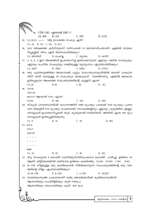CDE=345. എന്നാൽ ABC=? **B.** 321  $(A.456)$  $C.435$  $D. 123$ 15.  $3,7,15,31$  ——. വിട്ട ഭാഗത്തെ സംഖ്യ ഏത്?  $(A. 47, B. 53, C. 63, D. 67)$ 16. 2011 വർഷത്തെ ക്രിസ്തുമസ് ഡിസംബർ 25 ഞായറാഴ്ചയാണ്. എങ്കിൽ 2012ലെ റിപ്പബ്ലിക് ദിനം ഏത് ദിവസമായിരിക്കും? (A. ഞായർ B. ചൊവ്വ С. 01,090  $D.$   $(0,0)$ 17. 2, 9, 6, 5 ഈ അക്കങ്ങൾ ഉപയോഗിച്ച് ഉണ്ടാക്കാവുന്ന ഏറ്റവും വലിയ സംഖ്യയും ഏറ്റവും ചെറിയ സംഖ്യയും തമ്മിലുള്ള വ്യത്യാസം എത്രയായിരിക്കും?  $(A. 8307)$ B. 7083 C. 6993  $D. 2793)$ 18. ഒരു പൂന്തോട്ടത്തിലെ ജലധാരക്ക് ചുറ്റും സമചതുരാകൃതിയിൽ ടൈൽ പാകുന്ന തിന് ഒരടി വശമുള്ള 20 സമചതുര ടൈലുകൾ വേണ്ടിവന്നു. എങ്കിൽ ജലധാര ഉൾപ്പെടുന്ന അകത്തെ സമചതുരത്തിന്റെ ചുറ്റളവ് എത്ര?  $(A.20)$  $C.16$ **B.18**  $D. 14)$  $19. \quad 241 = 8$  $352 = 30$ 463=72 ആയാൽ 574= എത്ര?  $(A144)$ B. 140 C. 130  $D. 110)$ 20. സ്കൂൾ പഠനയാത്രയ്ക്ക് വാഹനത്തിന് 7960 രൂപയും ചായക്ക് 1250 രൂപയും പ്രവേ ശന ടിക്കറ്റിന് 875 രൂപയും ചെലവായി. 3സ്ഥലങ്ങളിലും ഏറ്റവും ചുരുങ്ങിയ എണ്ണം നോട്ടുകൾ ഉപയോഗിച്ചാണ് തുക കൃത്യമായി നൽകിയത്. അതിൽ എത്ര 100 രൂപ നോട്ടുകൾ ഉൾപ്പെട്ടിരിക്കുന്നു.  $C. 19$  $(A, 9)$ **B.** 14  $D.99)$  $21. 121=4$  $232=7$  $343 = 10$  $898 =$  $(A. 22)$ B. 25  $C.18$  $D. 20)$ 22. ഒരു സംഖ്യയെ 5 കൊണ്ട് ഗുണിക്കുന്നതിനുപകരം5 കൊണ്ട് ഹരിച്ചു. ഉത്തരം 50 ആണ് കിട്ടിയതെങ്കിൽ ശരിയായ ഉത്തരം കണ്ടെത്തൂ. (A250 B1250 C100 D10) 23. 16 cm നീളമുള്ള ഒരു കമ്പികൊണ്ട് നിർമിക്കാവുന്ന സമചതുരത്തിന്റെ ഒരു വശ ത്തിന്റെ നീളം എത്രയായിരിക്കും?  $(A.16)$  cm **B.** 8 cm C. 4 cm  $D. 12cm)$ 24. താഴെകൊടുത്ത പ്രകാരമാണ് രാജു ജോലിക്കാർക്ക് കുലികൊടുത്തത്. ആശാരിക്കും പെയിന്റർക്കും കൂടി–750രൂപ ആശാരിക്കും ഡ്രൈവർക്കും കൂടി– 850 രൂപ **മുന്നാക്കം 2010 ഗണിത**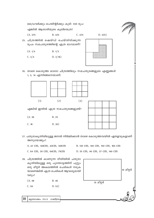ഡ്രൈവർക്കും പെയിന്റർക്കും കൂടി– 650 രൂപ

B. 425

എങ്കിൽ ആശാരിയുടെ കൂലിയെത്ര?

 $(A. 375)$ 

 $D. 325)$ 

 $C.475$ 

- 25. ചിത്രത്തിൽ ഷെയ്ഡ് ചെയ്തിരിക്കുന്ന രൂപം സമചതുരത്തിന്റെ എത്ര ഭാഗമാണ്?
	- $(A. 1/4)$  $B. 1/3$
	- $C. 3/4$ D.  $3/16$ )



26. താഴെ കൊടുത്ത ഓരോ ചിത്രത്തിലും സമചതുരങ്ങളുടെ എണ്ണങ്ങൾ 1, 5, 14 എന്നിങ്ങനെയാണ്.



27. ചതുരാകൃതിയിലുള്ള ജനൽ നിർമ്മിക്കാൻ താഴെ കൊടുത്തവയിൽ ഏതളവുകളാണ് അനുയോജ്യം?

A. 42 CM, 140CM, 42CM, 140CM

B. 130 CM, 140 CM, 150 CM, 160 CM

C. 64 cm, 30 cm, 64cm, 75cm D. 35 cm, 46 cm, 37 cm, 140 cm

- 28. ചിത്രത്തിൽ കാണുന്ന രീതിയിൽ ചതുരാ കൃതിയിലുള്ള ഒരു പൂന്തോട്ടത്തിന് ചുറ്റും ഒരു മീറ്റർ അകലത്തിൽ ചെടികൾ നടുക യാണെങ്കിൽ എത്ര ചെടികൾ ആവശ്യമായി വരും?
	- $(A.48)$ B. 46
	- $C.50$  $D. 52)$

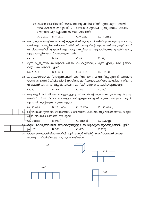|                                  |                                                                                                                                                                                                                             |                                       |             | 29. 23.30ന് കോഴിക്കോട് റയിൽവേ സ്റ്റേഷനിൽ നിന്ന് പുറപ്പെടുന്ന ട്രെയി<br>നിൽ കയറാൻ രഘുവിന് 2½ മണിക്കൂർ മുൻപേ പുറപ്പെടണം. എങ്കിൽ                                                                                                            |
|----------------------------------|-----------------------------------------------------------------------------------------------------------------------------------------------------------------------------------------------------------------------------|---------------------------------------|-------------|------------------------------------------------------------------------------------------------------------------------------------------------------------------------------------------------------------------------------------------|
| രഘുവിന് പുറപ്പെടേണ്ട സമയം ഏതാണ്? |                                                                                                                                                                                                                             |                                       |             |                                                                                                                                                                                                                                          |
|                                  | (A. 9 am. B. 11 am.                                                                                                                                                                                                         |                                       | C. 9 pm.    | $D. 11 pm.$ )                                                                                                                                                                                                                            |
|                                  |                                                                                                                                                                                                                             | എത്ര നെല്ലിക്കയാണ് കൊണ്ടുവന്നത്?      |             | 30. അനു കുറെ നെല്ലിക്ക അവന്റെ കൂട്ടുകാർക്ക് തുല്യമായി വീതിച്ചുകൊടുത്തു. ഓരോരു<br>ത്തർക്കും 7 നെല്ലിക്ക വീതമാണ് കിട്ടിയത്. അനുവിന്റെ കൂട്ടുകാരൻ രാജുകൂടി അന്ന്<br>വന്നിരുന്നെങ്കിൽ എല്ലാവർക്കും ഒരു നെല്ലിക്ക കുറയുമായിരുന്നു. എങ്കിൽ അനു |
|                                  | (A. 13)                                                                                                                                                                                                                     | B. 56                                 | C.42        | D.49)                                                                                                                                                                                                                                    |
|                                  | കിട്ടും. സംഖ്യകൾ ഏവ?                                                                                                                                                                                                        |                                       |             | 31. മൂന്ന് വ്യത്യസ്ത സംഖ്യകൾ പരസ്പരം കൂട്ടിയാലും ഗുണിച്ചാലും ഒരേ ഉത്തരം                                                                                                                                                                  |
|                                  | (A, 2, 2, 2)                                                                                                                                                                                                                | B. 2, 3, 4 C. 0, 1, 2 D. 1, 2, 3)     |             |                                                                                                                                                                                                                                          |
|                                  | 32. കൂട്ടുകാരനായ മണി,അരുൺ,ഷാജി എന്നിവർ 280 രൂപ വീതിച്ചെടുത്തത് ഇങ്ങിനെ<br>യാണ് അരുണിന് കിട്ടിയതിന്റെ ഇരട്ടിരൂപ മണിക്കും,പകുതിരൂപ ഷാജിക്കും കിട്ടുന്ന<br>വിധമാണ് പണം വീതിച്ചത്. എങ്കിൽ മണിക്ക് എത്ര രൂപ കിട്ടിയിട്ടുണ്ടാവും? |                                       |             |                                                                                                                                                                                                                                          |
|                                  | (A. 80)                                                                                                                                                                                                                     | B. 100                                | C. 160      | D. 180)                                                                                                                                                                                                                                  |
|                                  | എന്നാൽ കുപ്പിയുടെ തൂക്കം എത്ര?                                                                                                                                                                                              |                                       |             | 33. ഒരു കുപ്പിയിൽ നിറയെ വെള്ളമുള്ളപ്പോൾ അതിന്റെ തൂക്കം 175 ഗ്രാം ആയിരുന്നു.<br>അതിൽ നിന്ന് 1/4 ഭാഗം വെള്ളം ഒഴിച്ചുകളഞ്ഞപ്പോൾ തൂക്കം 155 ഗ്രാം ആയി.                                                                                       |
|                                  | $(A. 95 \cup 000)$                                                                                                                                                                                                          | B. 115 LOOO                           | C. 20 LW 20 | D. 135 (000)                                                                                                                                                                                                                             |
| 34.                              | ഏത് ദിവസമാകാനാണ് സാധ്യത?                                                                                                                                                                                                    |                                       |             | ാം ദിവസങ്ങളുള്ള ഒരു മാസത്തിൽ 5 ഞായറാഴ്ചകൾ വരുന്നുവെങ്കിൽ ഒന്നാം തിയ്യതി                                                                                                                                                                  |
|                                  | <del>(A</del> . വെള്ളി                                                                                                                                                                                                      | $B.$ ശനി                              | C. തിങ്കൾ   | $D.$ ചൊവ്വ $)$                                                                                                                                                                                                                           |
|                                  |                                                                                                                                                                                                                             |                                       |             | <del>- ത</del> ാഴെ കൊടുത്തവയിൽ അടുത്തടുത്തുള്ള 2 സംഖ്യകളുടെ തു <b>കയല്ലാത്തത്</b> ഏത്?                                                                                                                                                   |
|                                  | (A 167)                                                                                                                                                                                                                     | <b>B.328</b>                          | C. 435      | D.123)                                                                                                                                                                                                                                   |
|                                  |                                                                                                                                                                                                                             | കാണുന്ന രീതിയിലുള്ള ഒരു രൂപം ലഭിക്കുക |             | 36. താഴെ കൊടുത്തിരിക്കുന്നതിൽ ഏത് പേപ്പർ സ്ട്രിപ്പ് മടക്കിയാലാണ് താഴെ                                                                                                                                                                    |
|                                  | എ                                                                                                                                                                                                                           |                                       |             | வி                                                                                                                                                                                                                                       |
|                                  | m <sub>1</sub>                                                                                                                                                                                                              |                                       |             | $\omega$                                                                                                                                                                                                                                 |

 $\begin{array}{|c|c|c|}\hline \quad \quad & \quad \quad & \quad \quad & \quad \quad \\ \hline \quad \quad & \quad \quad & \quad \quad & \quad \quad \\ \hline \end{array}$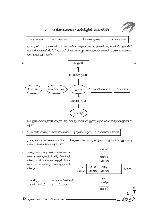

#### പരിസരപഠനം (മൾട്ടിപ്പിൾ ചോയ്സ്)  $3.$

| 1. A. കൽക്കത്ത | B. ചെന്നൈ | C. വിശാഖപട്ടണം | D. മംഗലാപുരം |  |
|----------------|-----------|----------------|--------------|--|

ഇന്ത്യയിലെ പ്രശസ്തമായ ചില തുറമുഖങ്ങളാണ് മുകളിൽ. ഇതിൽ കൊൽക്കത്തയിൽനിന്ന് കൊച്ചിയിലേക്ക് കപ്പൽയാത്രചെയ്യുമ്പോൾ കടന്നുപോവാത്ത തുറമുഖംഏതാണ്?



മുകളിൽ കൊടുത്തിരിക്കുന്ന, ആശയ ഭൂപടത്തിൽ ഇന്ത്യയുടെ ദേശീയമുദ്രയല്ലാത്തത് ഏത്?

A. കുന്നിടിക്കൽ, B. മണൽവാരൽ, C. ഉരുൾപൊട്ടൽ, D. വയൽനികത്തൽ  $\overline{3}$ .

പ്രകൃതിയെ ദോഷകരമായി ബാധിക്കുന്ന ചില കാര്യങ്ങളാണ് പട്ടികയിൽ. ഈ കൂട്ട ത്തിൽ ചേരാത്തത് ഏതാണ്?

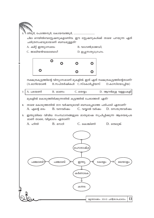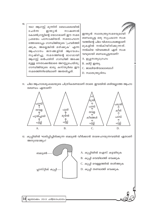$10.$ 1942 ആഗസ്ക് മുന്നിന് ബോംബെയിൽ ചേർന്ന ഇന്ത പ്രൻ നാഷണൽ ഇന്ത്യൻ സ്വാതന്ത്ര്യസമരവുമായി കോൺഗ്രസ്സിന്റെ യോഗമാണ് ഈ സമര ബന്ധപ്പെട്ട ഒരു സുപ്രധാന സംഭ പ്രമേയം പാസാക്കിയത്. സമരാഹ്വാന വത്തിന്റെ ചില വിശദാംശങ്ങളാണ് ത്തോടൊപ്പം ഗാന്ധിജിയുടെ 'പ്രവർത്തി മുകളിൽ നൽകിയിരിക്കുന്നത്. ക്കുക, അല്ലെങ്കിൽ മരിക്കുക' എന്ന നൽകിയ വിവരങ്ങൾ ഏത് സംഭ ആഹ്വാനം ജനങ്ങളിൽ ആവേശം വവുമായി ബന്ധപ്പെട്ടതാണ്? സൃഷ്ടിച്ചു. സമരത്തിന്റെ ഭാഗമായി A. ഉപ്പുസത്യാഗ്രഹം ആഗസ്റ്റ് ഒൻപതിന് ഗാന്ധിജി അടക്ക മുള്ള നേതാക്കൻമാരെ അറസ്റ്റുചെയ്തു. B. ക്വിറ്റ് ഇന്ത്യ ഗാന്ധിജിയുടെ ഭാര്യ കസ്തൂർബ ഈ C. ജാലിയൻവാലാബാഗ് സമരത്തിനിടയിലാണ് അന്തരിച്ചത്. D. സ്വാതന്ത്ര്യദിനം

11. ചില ആഹാരശ്യംഖലയുടെ ചിത്രീകരണമാണ് താഴെ. ഇവയിൽ ശരിയല്ലാത്ത ആഹാ രബന്ധം ഏതാണ്?



- 12. കുപ്പിയിൽ ഘടിപ്പിച്ചിരിക്കുന്ന ബലൂൺ വീർക്കാൻ താഴെപറയുന്നവയിൽ ഏതാണ് അനുയോജ്യം?
	- A. കുപ്പിയിൽ ഐസ് കട്ടയിടുക
	- B. കുപ്പി വെയിലത്ത് വെക്കുക
	- C. കുപ്പി വെള്ളത്തിൽ താഴ്ത്തുക
	- D. കുപ്പി തണലത്ത് വെക്കുക.

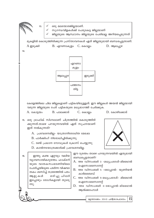ഒരു മലയോരജില്ലയാണ്.  $13.$ സുഗന്ധവിളകൾക്ക് പേരുകേട്ട ജില്ലയാണ് ജില്ലയുടെ ആസ്ഥാനം ജില്ലയുടെ പേരിലല്ല അറിയപ്പെടുന്നത് മുകളിൽ കൊടുത്തിരിക്കുന്ന പ്രസ്താവനകൾ ഏത് ജില്ലയുമായി ബന്ധപ്പെട്ടതാണ്. B. എറണാകുളം C. കൊല്ലം A ഇടുക്കി  $D.$  ആലപ്പുഴ 14. എറണാ കുളം ആലപ്പുഴ ഇടുക്കി പത്തനം തിട്ട കേരളത്തിലെ ചില ജില്ലകളാണ് പട്ടികയിലുള്ളത്. ഈ ജില്ലകൾ അയൽ ജില്ലയായി വരുന്ന ജില്ലയുടെ പേര് പട്ടികയുടെ മധ്യഭാഗത്ത് ചേർക്കുക.  $B.$  പാലക്കാട്  $D.$  കോഴിക്കോട്  $A.$  കോട്ടയം C. കൊല്ലം 15. ഒരു ട്രാഫിക് സിഗ്നലാണ് ചിത്രത്തിൽ കൊടുത്തിരി ക്കുന്നത്.താഴെ പറയുന്നവയിൽ ഏത് സൂചനയാണ് ഇത് നൽകുന്നത്? A. പ്രവേശനമില്ല- യാത്രാനിരോധിത മേഖല B. പാർക്കിംഗ് നിരോധിച്ചിരിക്കുന്നു. C. രണ്ട് പ്രധാന റോഡുകൾ ക്രോസ് ചെയ്യുന്നു D. കാൽനടയാത്രക്കാർക്ക് പ്രവേശനമില്ല. ഈ ദുരന്തം താഴെ പറയുന്നവയിൽ ഏതുമായി 16. ഇന്ത്യ കണ്ട ഏറ്റവും വലിയ ബന്ധപ്പെട്ടതാണ്? വ്യാവസായികദുരന്തം. ഫാക്ടറി A. 1994 ഡിസംബർ 3 -മധ്യപ്രദേശ്-മിഥൈൽ യുടെ വാതകസംഭരണിയിലെ ഐസോസൈനേറ്റ് ചോർച്ചയിലൂടെ പടർന്ന വിഷവാ B. 1994 ഡിസംബർ 5 -ഭോപ്പാൽ- യൂണിയൻ തകം ശ്വസിച്ച് 20,000ത്തിൽ പരം കാർബൈഡ് ആളു കൾ മരിച്ചു. ചിലർ C. 1994 ഡിസംബർ 5-മധ്യപ്രദേശ്- മിഥൈൽ ഇപ്പോഴും രോഗികളായി തുടരു ഐസോസൈനേറ്റ് (m). D. 1994 ഡിസംബർ 3-ട്രോപ്പാൽ-മിഥൈൽ

മുന്നാക്കം 2010 പരിസരപഠനം

ആൽക്കഹോൾ

15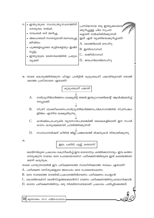| 17.<br>ജീവിതം<br>പ്പെട്ടു.<br>വ്യക്തി | • ഇന്ത്യയുടെ സ്വാതന്ത്ര്യസമരത്തിന്<br>നേതൃത്വം നൽകി.<br>$\bullet$ നവംബർ 14ന് ജനിച്ചു.<br>അലഹബാദ് നഗരവുമായി ബന്ധപ്പെട്ട<br>∙ പൂക്കളെപ്പോലെ കുട്ടികളെയും ഇഷ്ട<br>ഇന്ത്യയുടെ ഭരണതലത്തിൽ പ്രമുഖ | പ്രസിദ്ധനായ ഒരു ഇന്ത്യക്കാരനെ "<br>ക്കുറിച്ചുള്ള ചില സൂചന<br>കളാണ് നൽകിയിരിക്കുന്നത്.<br>ഇത് ഏത് വൃക്തിയെക്കുറിച്ചാണ്?<br>A. മോത്തിലാൽ നെഹ്റു<br>B. ഇന്ദിരാഗാന്ധി<br>$C_{\cdot}$ രാജീവ്ഗാന്ധി<br>D ജവഹർലാൽനെഹ്റു |
|---------------------------------------|---------------------------------------------------------------------------------------------------------------------------------------------------------------------------------------------|------------------------------------------------------------------------------------------------------------------------------------------------------------------------------------------------------------------|
|                                       |                                                                                                                                                                                             |                                                                                                                                                                                                                  |

18. താഴെ കൊടുത്തിരിക്കുന്ന ഫ്ളോ ചാർട്ടിൽ കുടുംബശ്രീ പദ്ധതിയുമായി യോജി ക്കാത്ത പ്രസ്താവന ഏതാണ്?



- ദാരിദ്ര്യനിർമാർജ്ജനം ലക്ഷ്യമിട്ട് 1998ൽ ഇന്ത്യാഗവൺമെന്റ് ആവിഷ്ക്കരിച്ച് A. നടപ്പാക്കി.  $\mathbf{I}$
- **B.** സ്ത്രീ ശാക്തീകരണം,ദാരിദ്ര്യനിർമാർജ്ജനം,വികസനത്തിൽ സ്ത്രീപങ്കാ ളിത്തം എന്നിവ ലക്ഷ്യമിടുന്നു.
- $\mathcal{C}$ . കാർഷികം,ചെറുകിട വ്യവസായം,ബാങ്കിങ്ങ് മേഖലകളിലാണ് ഈ സംവി ധാനം കാര്യക്ഷമമായി പ്രവർത്തിക്കുന്നത്.
- D. സംസ്ഥാനമിഷന് കീഴിൽ ജില്ല-പഞ്ചായത്ത് മിഷനുകൾ നിയന്ത്രിക്കുന്നു.

19.

ഇല, ചകിരി, പുല്ല്, കടലാസ്

ലെൻസിലൂടെ പ്രകാശം കേന്ദ്രീകരിച്ച് ഇവ ഓരോന്നും കത്തിക്കാനാവും. ഇവ കത്താ നെടുക്കുന്ന സമയം ഒരേ പോലെയാണോ? പരീക്ഷണത്തിലൂടെ ഇത് കണ്ടെത്തണ മെന്ന് കരുതുക.

താഴെ പറയുന്നവയിൽ ഈ പരീക്ഷണത്തെ സ്വാധീനിക്കാത്ത ഘടകം ഏതാണ്?

- A. പരീക്ഷണ വസ്തുക്കളുടെ ജലാംശം ഒരേ പോലെയാകണം
- $B.$  ഒരേ സമയത്തെ വെയിൽ/പ്രകാശത്തിൽവേണം പരീക്ഷണം ചെയ്യാൻ
- $C$ . കോൺവെക്സ് ലെൻസ്(ഉത്തലലെൻസ്) വേണം പരീക്ഷണത്തിനുപയോഗിക്കാൻ.
- D. ഓരോ പരീക്ഷണത്തിനും ഒരു നിശ്ചിതസമയമാണ് പ്രകാശം പതിപ്പിക്കേണ്ടത്.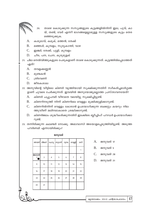- താഴെ കൊടുക്കുന്ന സസ്യങ്ങളുടെ കൂട്ടങ്ങളിൽനിന്ന് ഇല, പൂവ്, കാ 20. യ്, തണ്ട്, വേര് എന്നീ ഭാഗങ്ങളെല്ലാമുള്ള സസ്യങ്ങളുടെ കൂട്ടം തെര ഞ്ഞെടുക്കുക.
- $\mathbf{A}$ . കശുമാവ്, കമുക്, മത്തൻ, തേക്ക്
- **B.** മഞ്ഞൾ, കുമ്പളം, സൂര്യകാന്തി, വാഴ
- $C_{\cdot}$ ഇഞ്ചി, തേക്ക്, പുളി, കുമ്പളം
- D. ചീര, പന, ചേന, കുരുമുളക്
- 21. ചില നെൽവിത്തുകളുടെ പേരുകളാണ് താഴെ കൊടുക്കുന്നത്. കൂട്ടത്തിൽപ്പെടാത്തത് ഏത്?
	- A. തവളക്കണ്ണൻ
	- **B.** മുണ്ടകൻ
	- $\mathcal{C}$ തിവേണി
	- $D_{\cdot}$ ജീരകശാല
- 22. അനുവിന്റെ വീട്ടിലെ കിണർ വൃത്തിയായി സൂക്ഷിക്കുന്നതിന് സ്ഥീകരിച്ചമാർഗ്ഗങ്ങ ളാണ് ചുവടെ ചേർക്കുന്നത്. ഇവയിൽ അനുയോജ്യമല്ലാത്ത പ്രസ്താവനയേത്?
	- A. കിണർ ചപ്പുചവർ വീഴാതെ വലയിട്ടു സൂക്ഷിച്ചിട്ടുണ്ട്.
	- $B<sub>1</sub>$ കിണറിനടുത്ത് നിന്ന് കിണറിലെ വെള്ളം മുക്കിക്കുളിക്കാറുണ്ട്.
	- $\mathcal{C}$ . കിണറിൽനിന്ന് വെള്ളം കോരാൻ ഉപയോഗിക്കുന്ന ബക്കറ്റും കയറും നില ത്തുവീണ് മലിനമാകാതെ ശ്രദ്ധിക്കാറുണ്ട്.
	- കിണർജലം ശുദ്ധീകരിക്കുന്നതിന് ഇടക്കിടെ ബ്ലീച്ചിംഗ് പൗഡർ ഉപയോഗിക്കാ  $D.$ റുണ്ട്.
- 23. തന്നിരിക്കുന്ന കലണ്ടർ നോക്കൂ. അമാവാസി അടയാളപ്പെടുത്തിയിട്ടുണ്ട്. അടുത്ത പൗർണമി എന്നായിരിക്കും?

| ജനുവരി               |         |       |      |        |                |     |  |
|----------------------|---------|-------|------|--------|----------------|-----|--|
| ഞായർ                 | തിങ്കൾ  | ചൊവ്വ | ബുധൻ | വ്വാഴം | വെള്ളി         | ശനി |  |
|                      |         |       |      |        |                | 1   |  |
| $\frac{2}{\epsilon}$ | 3       | 4     | 5    | 6      | $\overline{7}$ | 8   |  |
| 9                    | 10      | 11    | 12   | 13     | 14             | 15  |  |
| 16                   | 17      | 18    | 19   | 20     | 21             | 22  |  |
| 23                   | 24      | 25    | 26   | 27     | 28             | 29  |  |
| 30                   | 31      |       |      |        |                |     |  |
|                      | അമാവാസി |       |      |        |                |     |  |

- $A_{\cdot}$ ജനുവരി 17
- B. ജനുവരി 5
- $C_{\cdot}$ ജനുവരി 28
- D. ജനുവരി 31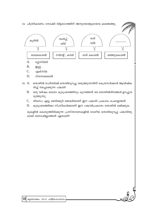

- D. സ്നോലൈൻ
- 25. A. തൊഴിൽ രഹിതർക്ക് തൊഴിലുറപ്പു വരുത്തുന്നതിന് കേന്ദ്രസർക്കാർ ആവിഷ്ക രിച്ച് നടപ്പാക്കുന്ന പദ്ധതി
	- ഒരു വർഷം ഓരോ കുടുംബത്തിനും കുറഞ്ഞത് 100 തൊഴിൽദിനങ്ങൾ ഉറപ്പുവ **B.** രുത്തുന്നു.
	- C. ദിവസം എട്ടു മണിക്കൂർ ജോലിയാണ് ഈ പദ്ധതി പ്രകാരം ചെയ്യേണ്ടത്.
	- D. കുടുംബത്തിലെ സ്ത്രീകൾക്കാണ് ഈ പദ്ധതിപ്രകാരം തൊഴിൽ ലഭിക്കുക.

മുകളിൽ കൊടുത്തിരിക്കുന്ന പ്രസ്താവനകളിൽ ദേശീയ തൊഴിലുറപ്പു പദ്ധതിയു മായി ബന്ധമില്ലാത്തത് ഏതാണ്?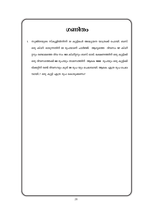# **Somlogo** സുജിതയുടെ സ്കൂളിൽനിന്ന് 30 കുട്ടികൾ അദ്ധ്യയന യാത്രക്ക് പോയി. ബസ്  $\mathbf{1}$ ഒരു കി.മീ. ഓടുന്നതിന് 22 രൂപയാണ് ചാർജ്ജ്. ആദ്യത്തെ ദിവസം 97 കി.മീ റ്ററും രണ്ടാമത്തെ ദിവ സം 103 കി.മീറ്ററും ബസ് ഓടി. ഭക്ഷണത്തിന് ഒരു കുട്ടിക്ക് ഒരു ദിവസത്തേക്ക് 60 രൂപയും താമസത്തിന് ആകെ 1000 രൂപയും ഒരു കുട്ടിക്ക് ടിക്കറ്റിന് രണ്ട് ദിവസവും കൂടി 30 രൂപ യും ചെലവായി. ആകെ എത്ര രൂപ ചെല വായി..? ഒരു കുട്ടി എത്ര രൂപ കൊടുക്കണം?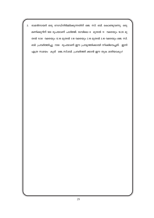രാമൻനായർ ഒരു റോഡ്നിർമ്മിക്കുന്നതിന് ജെ. സി. ബി. കൊണ്ടുവന്നു. ഒരു  $2.$ മണിക്കൂറിന് 900 രൂപയാണ് ചാർജ്ജ്. രാവിലെ 8 മുതൽ 11 വരെയും 10.20 മു തൽ 11.50 വരെയും 12.10 മുതൽ 1.10 വരെയും 2.10 മുതൽ 3.10 വരെയും ജെ. സി. ബി. പ്രവർത്തിച്ചു. 7200 രൂപയാണ് ഈ പ്രവൃത്തിക്കായി നീക്കിവെച്ചത്. ഇനി എത്ര സമയം കൂടി ജെ..സി.ബി. പ്രവർത്തി ക്കാൻ ഈ തുക മതിയാകും?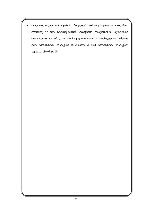അടുത്തടുത്തുള്ള രണ്ട് എൽ.പി. സ്കൂളുകളിലേക്ക് ഒരുമിച്ചാണ് സൗജനൃവിതര 3. ണത്തിനു ള്ള അരി കൊണ്ടു വന്നത്. ആദ്യത്തെ സ്കൂളിലെ 80 കുട്ടികൾക്ക് ആവശ്യമായ 400 കി. ഗ്രാം. അരി എടുത്തശേഷം ബാക്കിയുള്ള 600 കി.ഗ്രാം അരി രണ്ടാമത്തെ സ്കൂളിലേക്ക് കൊണ്ടു പോയി. രണ്ടാമത്തെ സ്കൂളിൽ എത്ര കുട്ടികൾ ഉണ്ട്?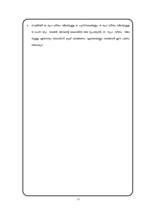സുജിത്ത് 30 രൂപ വീതം വിലയുള്ള 15 പുസ്തകങ്ങളും 15 രൂപ വീതം വിലയുള്ള 4. 15 പേന യും വാങ്ങി. അവന്റെ കൈയിൽ 1000 രൂപയുണ്ട്. 25 രൂപ വീതം വില യുള്ള ഏതാനും ബോക്സ് കൂടി വാങ്ങണം. എത്രയെണ്ണം വാങ്ങാൻ ഈ പണം തികയും?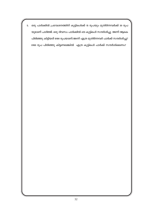ഒരു പാർക്കിൽ പ്രവേശനത്തിന് കുട്ടികൾക്ക് 15 രൂപയും മുതിർന്നവർക്ക് 30 രൂപ 5. യുമാണ് ചാർജ്ജ്. ഒരു ദിവസം പാർക്കിൽ 420 കുട്ടികൾ സന്ദർശിച്ചു. അന്ന് ആകെ പിരിഞ്ഞു കിട്ടിയത് 8100 രൂപയാണ്.അന്ന് എത്ര മുതിർന്നവർ പാർക്ക് സന്ദർശിച്ചു? 8100 രൂപ പിരിഞ്ഞു കിട്ടണമെങ്കിൽ എത്ര കുട്ടികൾ പാർക്ക് സന്ദർശിക്കണം?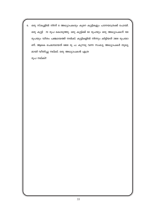ഒരു സ്കൂളിൽ നിന്ന് 8 അധ്യാപകരും കുറെ കുട്ടികളും പഠനയാത്രക്ക് പോയി. 6. ഒരു കുട്ടി 70 രൂപ കൊടുത്തു. ഒരു കുട്ടിക്ക് 60 രൂപയും ഒരു അധ്യാപകന് 100 രൂപയും വീതം പഞ്ചായത്ത് നൽകി. കുട്ടികളിൽ നിന്നും കിട്ടിയത് 2800 രൂപയാ ണ്. ആകെ ചെലവായത് 6800 രൂ പ. കുറവു വന്ന സംഖ്യ അധ്യാപകർ തുല്യ മായി വീതിച്ചു നല്കി. ഒരു അധ്യാപകൻ എത്ര

രൂപ നല്കി?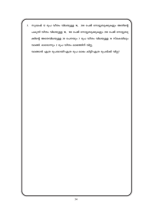സുമേഷ് 12 രൂപ വീതം വിലയുള്ള 16, 200 പേജ് നോട്ടുബുക്കുകളും അതിന്റെ 7. പകുതി വീതം വിലയുള്ള 18, 100 പേജ് നോട്ടുബുക്കുകളും 200 പേജ് നോട്ടുബു ക്കിന്റെ അതേവിലയുള്ള 20 പേനയും 7 രൂപ വീതം വിലയുള്ള 14 സ്കെയിലും വാങ്ങി. ഓരോന്നും 2 രൂപ വീതം ലാഭത്തിന് വിറ്റു.

വാങ്ങാൻ എത്ര രൂപയായി?എത്ര രൂപ ലാഭം കിട്ടി?എത്ര രൂപയ്ക്ക് വിറ്റു?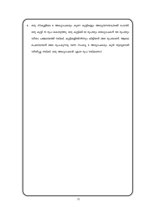ഒരു സ്കൂളിലെ 8 അധ്യാപകരും കുറെ കുട്ടികളും അധ്യയനയാത്രക്ക് പോയി. 8. ഒരു കുട്ടി 70 രൂപ കൊടുത്തു. ഒരു കുട്ടിക്ക് 60 രൂപയും ഒരധ്യാപകന് 100 രൂപയും വീതം പഞ്ചായത്ത് നല്കി. കുട്ടികളിൽനിന്നും കിട്ടിയത് 2800 രൂപയാണ്. ആകെ ചെലവായത് 6800 രൂപ.കുറവു വന്ന സംഖ്യ 8 അദ്യാപകരും കൂടി തുല്യമായി വീതിച്ചു നല്കി. ഒരു അധ്യാപകൻ എത്ര രൂപ നല്കണം?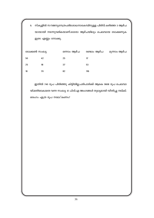സ്കൂളിൽ സൗജന്യനേത്രപരിശോധനാകേമ്പിനുള്ള പിരിവ് കഴിഞ്ഞ 3 ആഴ്ച 9. യായായി നടന്നുവരികയാണ്.ഓരോ ആഴ്ചയിലും ചെലവായ ടോക്കണുക ളുടെ എണ്ണം നോക്കൂ.

| ടോക്കൺ സംഖ്യ |    | ഒന്നാം ആഴ്ച | രണ്ടാം ആഴ്ച | മൂന്നാം ആഴ്ച |
|--------------|----|-------------|-------------|--------------|
| 50           | 42 | 25          | 17          |              |
| 25           | 18 | 37          | 53          |              |
| 10           | 70 | 82          | 116         |              |

ഇതിൽ 740 രൂപ പിരിഞ്ഞു കിട്ടിയില്ല.പരിപാടിക്ക് ആകെ 9608 രൂപ ചെലവാ യി.മതിയാകാതെ വന്ന സംഖ്യ 12 പി.ടി.എ അംഗങ്ങൾ തുല്യമായി വീതിച്ചു നല്കി. ഒരാഗം എത്ര രൂപ നലേ്കണം?